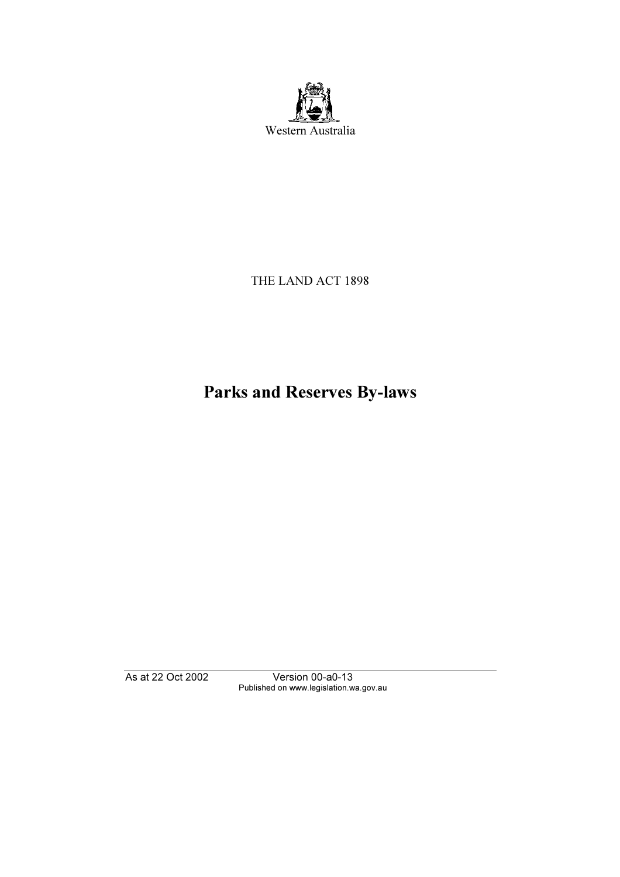

# THE LAND ACT 1898

# Parks and Reserves By-laws

Published on www.legislation.wa.gov.au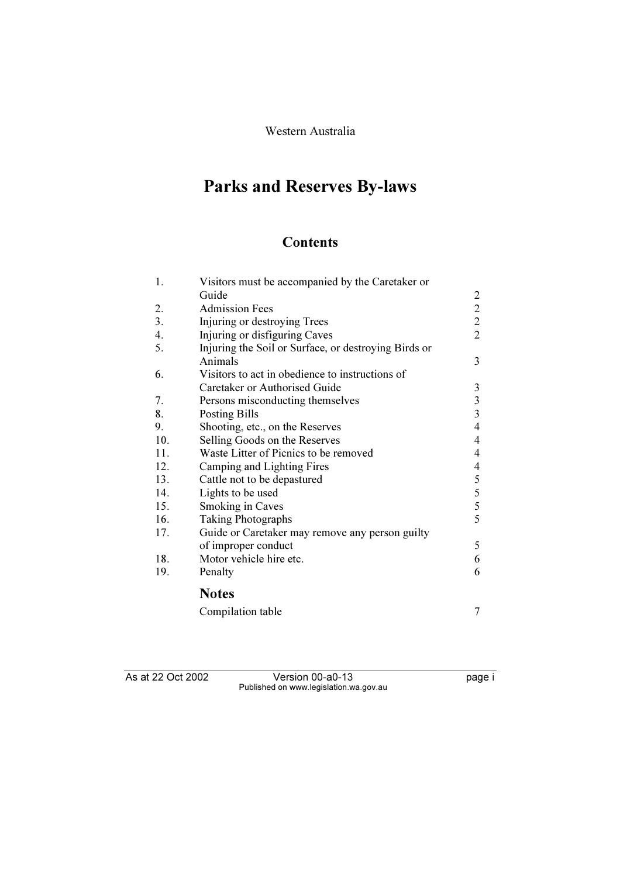# Western Australia

# Parks and Reserves By-laws

# **Contents**

| 1.  | Visitors must be accompanied by the Caretaker or     |                |
|-----|------------------------------------------------------|----------------|
|     | Guide                                                | 2              |
| 2.  | <b>Admission Fees</b>                                | $\overline{2}$ |
| 3.  | Injuring or destroying Trees                         | $\overline{2}$ |
| 4.  | Injuring or disfiguring Caves                        | $\overline{2}$ |
| 5.  | Injuring the Soil or Surface, or destroying Birds or |                |
|     | Animals                                              | 3              |
| 6.  | Visitors to act in obedience to instructions of      |                |
|     | Caretaker or Authorised Guide                        | 3              |
| 7.  | Persons misconducting themselves                     | $\overline{3}$ |
| 8.  | Posting Bills                                        | 3              |
| 9.  | Shooting, etc., on the Reserves                      | $\overline{4}$ |
| 10. | Selling Goods on the Reserves                        | $\overline{4}$ |
| 11. | Waste Litter of Picnics to be removed                | $\overline{4}$ |
| 12. | Camping and Lighting Fires                           | $\overline{4}$ |
| 13. | Cattle not to be depastured                          | 5              |
| 14. | Lights to be used                                    | 5              |
| 15. | Smoking in Caves                                     | 5              |
| 16. | <b>Taking Photographs</b>                            | 5              |
| 17. | Guide or Caretaker may remove any person guilty      |                |
|     | of improper conduct                                  | 5              |
| 18. | Motor vehicle hire etc.                              | 6              |
| 19. | Penalty                                              | 6              |
|     | <b>Notes</b>                                         |                |
|     | Compilation table                                    | 7              |

Published on www.legislation.wa.gov.au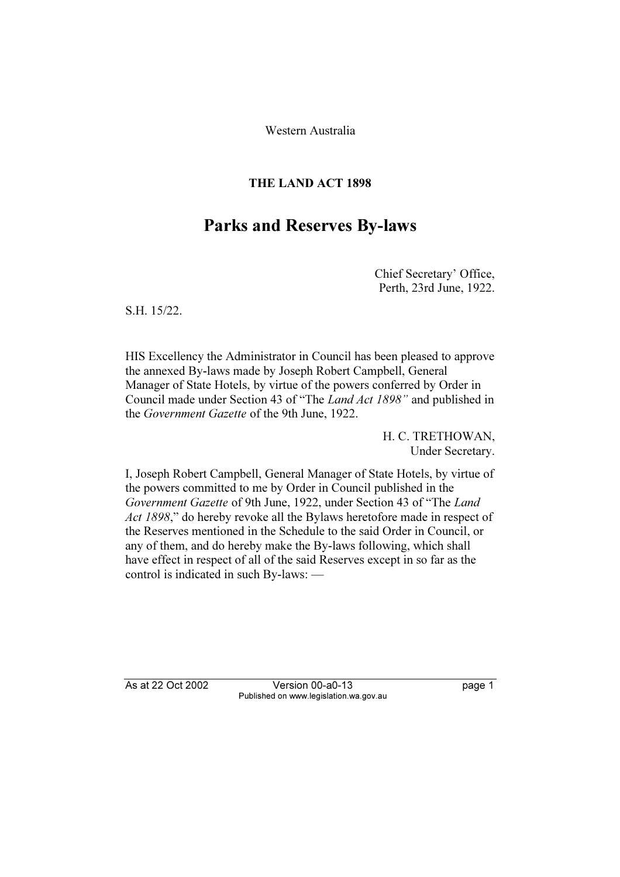Western Australia

# THE LAND ACT 1898

# Parks and Reserves By-laws

Chief Secretary' Office, Perth, 23rd June, 1922.

S.H. 15/22.

HIS Excellency the Administrator in Council has been pleased to approve the annexed By-laws made by Joseph Robert Campbell, General Manager of State Hotels, by virtue of the powers conferred by Order in Council made under Section 43 of "The Land Act 1898" and published in the Government Gazette of the 9th June, 1922.

> H. C. TRETHOWAN, Under Secretary.

I, Joseph Robert Campbell, General Manager of State Hotels, by virtue of the powers committed to me by Order in Council published in the Government Gazette of 9th June, 1922, under Section 43 of "The Land Act 1898," do hereby revoke all the Bylaws heretofore made in respect of the Reserves mentioned in the Schedule to the said Order in Council, or any of them, and do hereby make the By-laws following, which shall have effect in respect of all of the said Reserves except in so far as the control is indicated in such By-laws: —

As at 22 Oct 2002

Published on www.legislation.wa.gov.au Published on www.legislation.wa.gov.au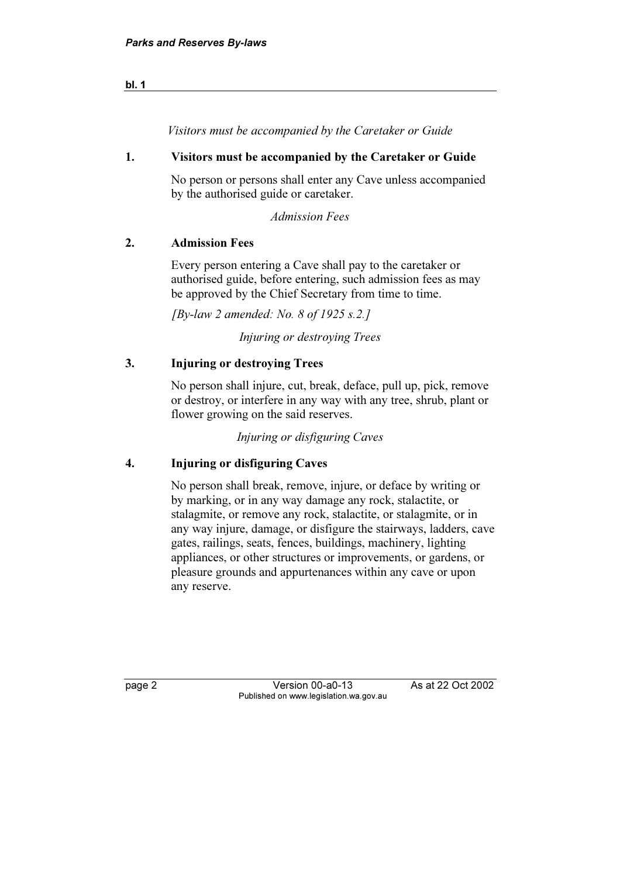Visitors must be accompanied by the Caretaker or Guide

#### 1. Visitors must be accompanied by the Caretaker or Guide

 No person or persons shall enter any Cave unless accompanied by the authorised guide or caretaker.

Admission Fees

## 2. Admission Fees

 Every person entering a Cave shall pay to the caretaker or authorised guide, before entering, such admission fees as may be approved by the Chief Secretary from time to time.

 $[By-law 2 amended: No. 8 of 1925 s. 2.]$ 

Injuring or destroying Trees

# 3. Injuring or destroying Trees

 No person shall injure, cut, break, deface, pull up, pick, remove or destroy, or interfere in any way with any tree, shrub, plant or flower growing on the said reserves.

Injuring or disfiguring Caves

# 4. Injuring or disfiguring Caves

 No person shall break, remove, injure, or deface by writing or by marking, or in any way damage any rock, stalactite, or stalagmite, or remove any rock, stalactite, or stalagmite, or in any way injure, damage, or disfigure the stairways, ladders, cave gates, railings, seats, fences, buildings, machinery, lighting appliances, or other structures or improvements, or gardens, or pleasure grounds and appurtenances within any cave or upon any reserve.

Version 00-a0-13 page 2 Version 2 Correction of the Correction of the Correction of the Correction of the Correction of the Correction of the Correction of the Correction of the Correction of the Correction of the Correction of the Correct

As at 22 Oct 2002

bl. 1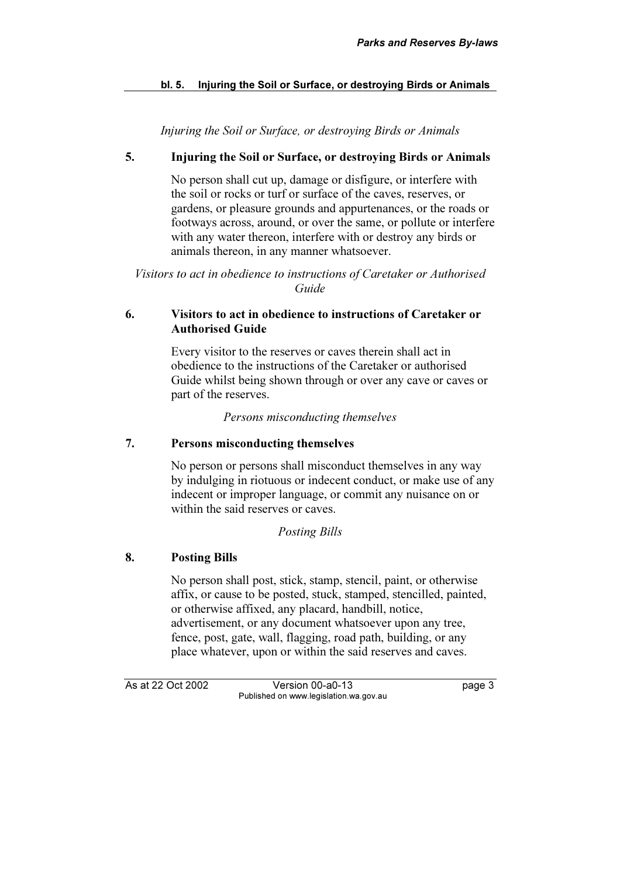# bl. 5. Injuring the Soil or Surface, or destroying Birds or Animals

Injuring the Soil or Surface, or destroying Birds or Animals

# 5. Injuring the Soil or Surface, or destroying Birds or Animals

 No person shall cut up, damage or disfigure, or interfere with the soil or rocks or turf or surface of the caves, reserves, or gardens, or pleasure grounds and appurtenances, or the roads or footways across, around, or over the same, or pollute or interfere with any water thereon, interfere with or destroy any birds or animals thereon, in any manner whatsoever.

Visitors to act in obedience to instructions of Caretaker or Authorised Guide

## 6. Visitors to act in obedience to instructions of Caretaker or Authorised Guide

 Every visitor to the reserves or caves therein shall act in obedience to the instructions of the Caretaker or authorised Guide whilst being shown through or over any cave or caves or part of the reserves.

Persons misconducting themselves

# 7. Persons misconducting themselves

 No person or persons shall misconduct themselves in any way by indulging in riotuous or indecent conduct, or make use of any indecent or improper language, or commit any nuisance on or within the said reserves or caves.

Posting Bills

# 8. Posting Bills

 No person shall post, stick, stamp, stencil, paint, or otherwise affix, or cause to be posted, stuck, stamped, stencilled, painted, or otherwise affixed, any placard, handbill, notice, advertisement, or any document whatsoever upon any tree, fence, post, gate, wall, flagging, road path, building, or any place whatever, upon or within the said reserves and caves.

As at 22 Oct 2002

Version 00-a0-13 Published on www.legislation.wa.gov.au Published on www.legislation.wa.gov.au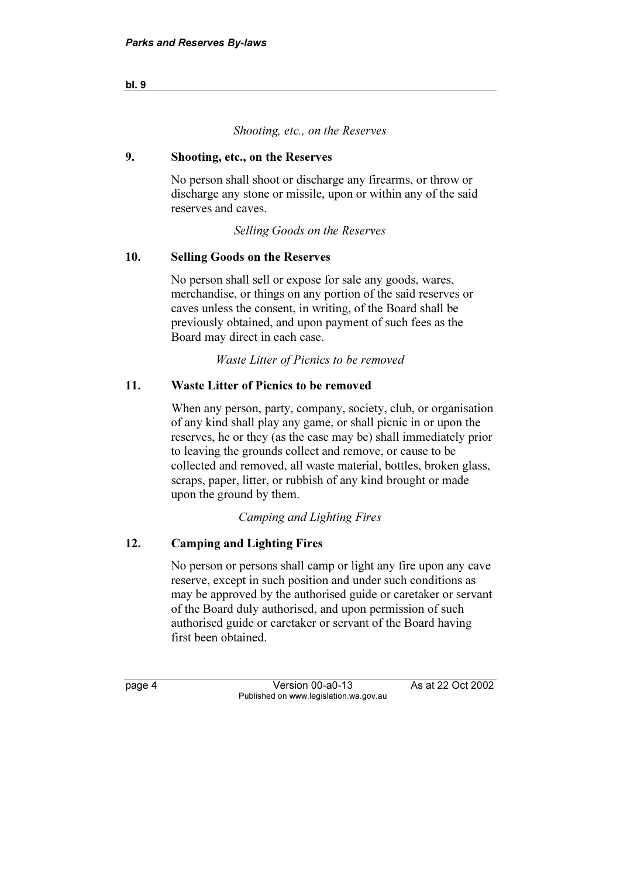#### Shooting, etc., on the Reserves

#### 9. Shooting, etc., on the Reserves

 No person shall shoot or discharge any firearms, or throw or discharge any stone or missile, upon or within any of the said reserves and caves.

Selling Goods on the Reserves

#### 10. Selling Goods on the Reserves

 No person shall sell or expose for sale any goods, wares, merchandise, or things on any portion of the said reserves or caves unless the consent, in writing, of the Board shall be previously obtained, and upon payment of such fees as the Board may direct in each case.

Waste Litter of Picnics to be removed

## 11. Waste Litter of Picnics to be removed

 When any person, party, company, society, club, or organisation of any kind shall play any game, or shall picnic in or upon the reserves, he or they (as the case may be) shall immediately prior to leaving the grounds collect and remove, or cause to be collected and removed, all waste material, bottles, broken glass, scraps, paper, litter, or rubbish of any kind brought or made upon the ground by them.

Camping and Lighting Fires

#### 12. Camping and Lighting Fires

 No person or persons shall camp or light any fire upon any cave reserve, except in such position and under such conditions as may be approved by the authorised guide or caretaker or servant of the Board duly authorised, and upon permission of such authorised guide or caretaker or servant of the Board having first been obtained.

Version 00-a0-13 Published on www.legislation.wa.gov.au

As at 22 Oct 2002

bl. 9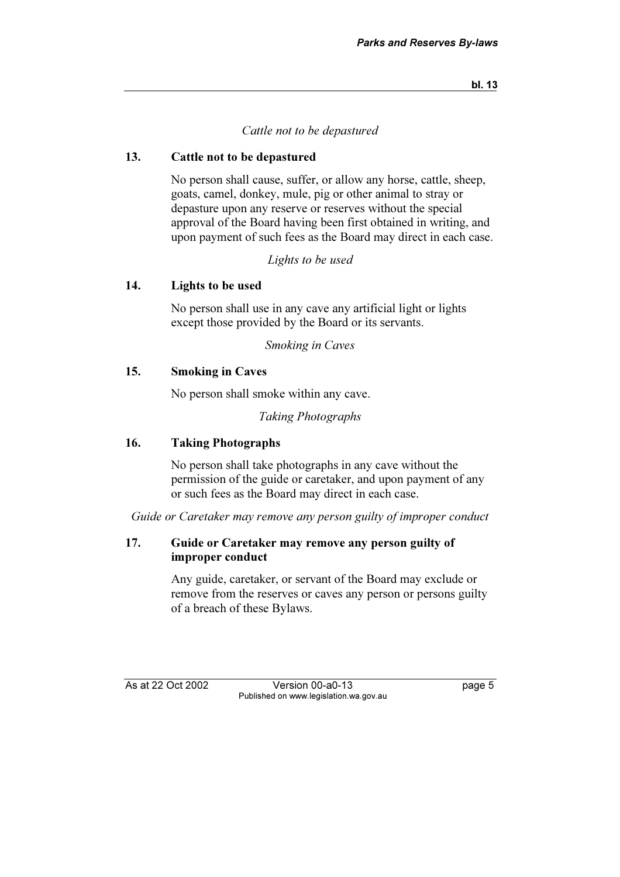#### Cattle not to be depastured

#### 13. Cattle not to be depastured

 No person shall cause, suffer, or allow any horse, cattle, sheep, goats, camel, donkey, mule, pig or other animal to stray or depasture upon any reserve or reserves without the special approval of the Board having been first obtained in writing, and upon payment of such fees as the Board may direct in each case.

Lights to be used

#### 14. Lights to be used

 No person shall use in any cave any artificial light or lights except those provided by the Board or its servants.

Smoking in Caves

#### 15. Smoking in Caves

No person shall smoke within any cave.

Taking Photographs

## 16. Taking Photographs

 No person shall take photographs in any cave without the permission of the guide or caretaker, and upon payment of any or such fees as the Board may direct in each case.

Guide or Caretaker may remove any person guilty of improper conduct

#### 17. Guide or Caretaker may remove any person guilty of improper conduct

 Any guide, caretaker, or servant of the Board may exclude or remove from the reserves or caves any person or persons guilty of a breach of these Bylaws.

As at 22 Oct 2002

Version 00-a0-13 Published on www.legislation.wa.gov.au Published on www.legislation.wa.gov.au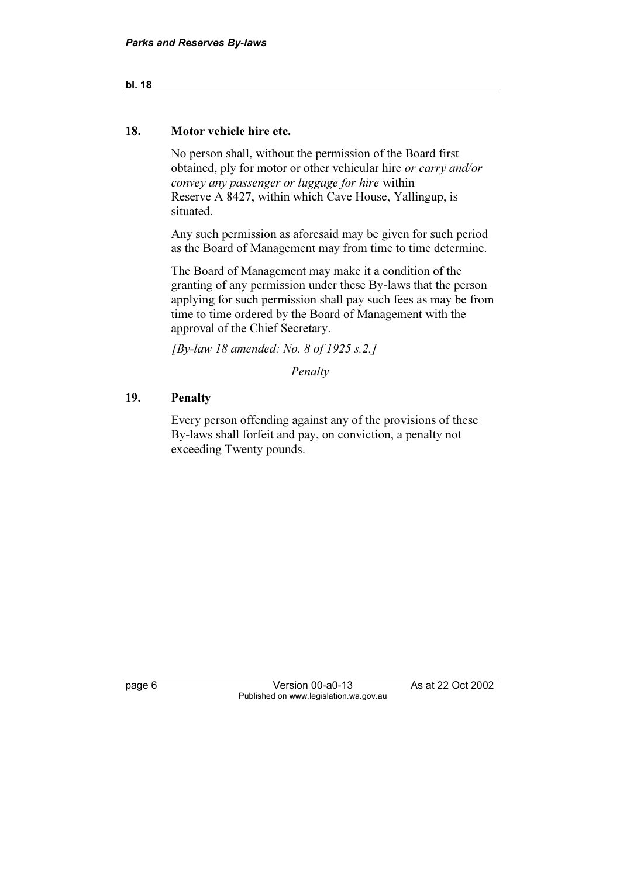# bl. 18

#### 18. Motor vehicle hire etc.

 No person shall, without the permission of the Board first obtained, ply for motor or other vehicular hire or carry and/or convey any passenger or luggage for hire within Reserve A 8427, within which Cave House, Yallingup, is situated.

 Any such permission as aforesaid may be given for such period as the Board of Management may from time to time determine.

 The Board of Management may make it a condition of the granting of any permission under these By-laws that the person applying for such permission shall pay such fees as may be from time to time ordered by the Board of Management with the approval of the Chief Secretary.

[By-law 18 amended: No. 8 of 1925 s.2.]

Penalty

## 19. Penalty

 Every person offending against any of the provisions of these By-laws shall forfeit and pay, on conviction, a penalty not exceeding Twenty pounds.

page 6 Version 000-a00-22 As at 22 Oct 2002 2003 Published on www.legislation.wa.gov.au

As at 22 Oct 2002